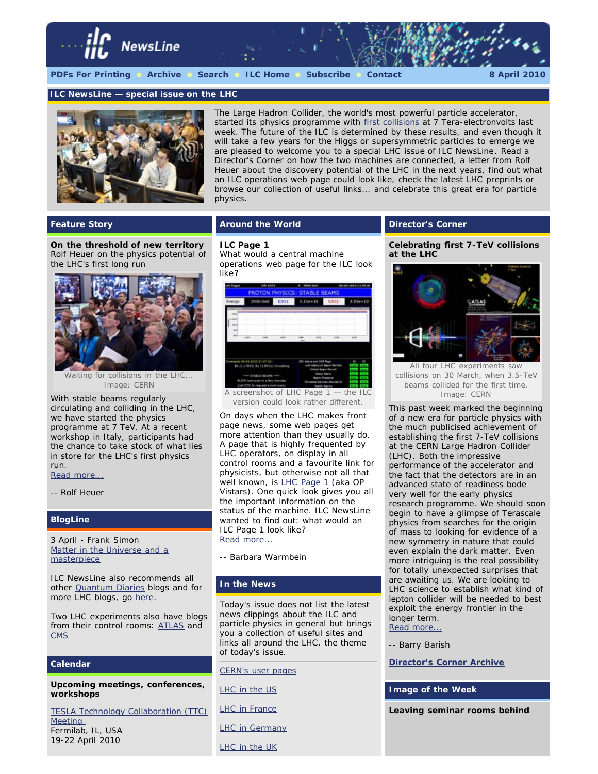

#### *ILC NewsLine* **— special issue on the LHC**



The Large Hadron Collider, the world's most powerful particle accelerator, started its physics programme with [first collisions](http://press.web.cern.ch/press/PressReleases/Releases2010/PR07.10E.html) at 7 Tera-electronvolts last week. The future of the ILC is determined by these results, and even though it will take a few years for the Higgs or supersymmetric particles to emerge we are pleased to welcome you to a special LHC issue of *ILC NewsLine*. Read a Director's Corner on how the two machines are connected, a letter from Rolf Heuer about the discovery potential of the LHC in the next years, find out what an ILC operations web page could look like, check the latest LHC preprints or browse our collection of useful links... and celebrate this great era for particle physics.

# **Feature Story**

**On the threshold of new territory** *Rolf Heuer on the physics potential of the LHC's first long run*



Waiting for collisions in the LHC... *Image: CERN*

With stable beams regularly circulating and colliding in the LHC, we have started the physics programme at 7 TeV. At a recent workshop in Italy, participants had the chance to take stock of what lies in store for the LHC's first physics run.

## [Read more...](http://www.linearcollider.org/newsline/readmore_20100408_ftr1.html)

*-- Rolf Heuer*

## **BlogLine**

3 April - *Frank Simon* [Matter in the Universe and a](http://www.quantumdiaries.org/2010/04/03/matter-in-the-universe-and-a-mechanical-masterpiece/) [masterpiece](http://www.quantumdiaries.org/2010/04/03/matter-in-the-universe-and-a-mechanical-masterpiece/)

*ILC NewsLine* also recommends all other [Quantum Diaries](http://www.quantumdiaries.org/) blogs and for more LHC blogs, go [here.](http://blogs.uslhc.us/)

Two LHC experiments also have blogs from their control rooms: [ATLAS](http://pdg2.lbl.gov/atlasblog/) and **[CMS](http://cms.web.cern.ch/cms/News/e-commentary/cms-e-commentary09.htm)** 

# **Calendar**

**Upcoming meetings, conferences, workshops**

[TESLA Technology Collaboration \(TTC\)](http://conferences.fnal.gov/ttc10/index.html) **Meeting** Fermilab, IL, USA 19-22 April 2010

# **Around the World**

#### **ILC Page 1**

*What would a central machine operations web page for the ILC look like?*



version could look rather different.

On days when the LHC makes front page news, some web pages get more attention than they usually do. A page that is highly frequented by LHC operators, on display in all control rooms and a favourite link for physicists, but otherwise not all that well known, is [LHC Page 1](http://op-webtools.web.cern.ch/op-webtools/vistar/vistars.php?usr=LHC1) (aka OP Vistars). One quick look gives you all the important information on the status of the machine. *ILC NewsLine* wanted to find out: what would an ILC Page 1 look like? [Read more...](http://www.linearcollider.org/newsline/readmore_20100408_atw.html)

*-- Barbara Warmbein*

#### **In the News**

*Today's issue does not list the latest news clippings about the ILC and particle physics in general but brings you a collection of useful sites and links all around the LHC, the theme of today's issue.*

[CERN's user pages](http://user.web.cern.ch/User/Welcome.asp)

[LHC in the US](http://www.uslhc.us/)

[LHC in France](http://www.lhc-france.fr/)

[LHC in Germany](http://www.weltmaschine.de/)

[LHC in the UK](http://www.lhc.ac.uk/)

# **Director's Corner**

**Celebrating first 7-TeV collisions at the LHC**



All four LHC experiments saw collisions on 30 March, when 3.5-TeV beams collided for the first time. *Image: CERN*

This past week marked the beginning of a new era for particle physics with the much publicised achievement of establishing the first 7-TeV collisions at the CERN Large Hadron Collider (LHC). Both the impressive performance of the accelerator and the fact that the detectors are in an advanced state of readiness bode very well for the early physics research programme. We should soon begin to have a glimpse of Terascale physics from searches for the origin of mass to looking for evidence of a new symmetry in nature that could even explain the dark matter. Even more intriguing is the real possibility for totally unexpected surprises that are awaiting us. We are looking to LHC science to establish what kind of lepton collider will be needed to best exploit the energy frontier in the longer term. [Read more...](http://www.linearcollider.org/cms/?pid=1000760)

*-- Barry Barish*

**[Director's Corner Archive](http://www.linearcollider.org/cms/?pid=1000026)**

**Image of the Week**

**Leaving seminar rooms behind**